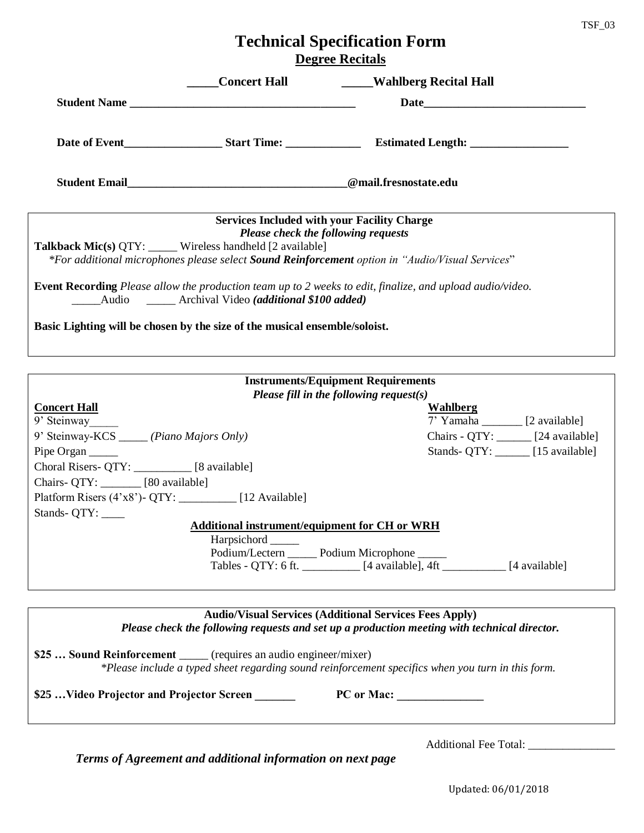## **Technical Specification Form Degree Recitals**

| <b>Concert Hall</b>                                                        | ____Wahlberg Recital Hall                                                                                        |  |
|----------------------------------------------------------------------------|------------------------------------------------------------------------------------------------------------------|--|
| Student Name                                                               |                                                                                                                  |  |
|                                                                            |                                                                                                                  |  |
|                                                                            |                                                                                                                  |  |
|                                                                            | <b>Services Included with your Facility Charge</b><br><b>Please check the following requests</b>                 |  |
| <b>Talkback Mic(s) QTY:</b> Wireless handheld [2 available]                | *For additional microphones please select <b>Sound Reinforcement</b> option in "Audio/Visual Services"           |  |
| Audio Archival Video (additional \$100 added)                              | <b>Event Recording</b> Please allow the production team up to 2 weeks to edit, finalize, and upload audio/video. |  |
| Basic Lighting will be chosen by the size of the musical ensemble/soloist. |                                                                                                                  |  |
|                                                                            |                                                                                                                  |  |

| <b>Instruments/Equipment Requirements</b>            |                                      |
|------------------------------------------------------|--------------------------------------|
| Please fill in the following request(s)              |                                      |
| <b>Concert Hall</b>                                  | Wahlberg                             |
| 9' Steinway                                          | 7' Yamaha ________ [2 available]     |
| 9' Steinway-KCS ______ (Piano Majors Only)           | Chairs - QTY: _______ [24 available] |
| Pipe Organ                                           | Stands- QTY: [15 available]          |
| Choral Risers- QTY: [8 available]                    |                                      |
| Chairs- QTY: [80 available]                          |                                      |
| Platform Risers (4'x8') - QTY: [12 Available]        |                                      |
| Stands- QTY:                                         |                                      |
| <b>Additional instrument/equipment for CH or WRH</b> |                                      |
| Harpsichord                                          |                                      |
| Podium/Lectern ______ Podium Microphone _____        |                                      |
| Tables - QTY: 6 ft. [4 available], 4ft [4 available] |                                      |
|                                                      |                                      |
|                                                      |                                      |

| <b>Audio/Visual Services (Additional Services Fees Apply)</b><br>Please check the following requests and set up a production meeting with technical director.            |  |  |  |  |  |
|--------------------------------------------------------------------------------------------------------------------------------------------------------------------------|--|--|--|--|--|
| \$25  Sound Reinforcement ______ (requires an audio engineer/mixer)<br>*Please include a typed sheet regarding sound reinforcement specifics when you turn in this form. |  |  |  |  |  |
| \$25  Video Projector and Projector Screen<br><b>PC</b> or Mac:                                                                                                          |  |  |  |  |  |

*Terms of Agreement and additional information on next page*

Additional Fee Total: \_\_\_\_\_\_\_\_\_\_\_\_\_\_\_